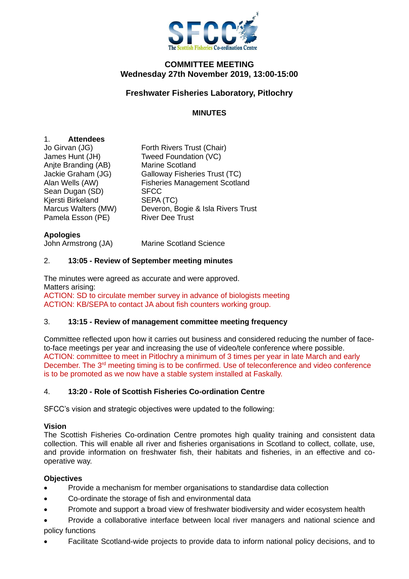

#### **COMMITTEE MEETING Wednesday 27th November 2019, 13:00-15:00**

# **Freshwater Fisheries Laboratory, Pitlochry**

## **MINUTES**

## 1. **Attendees**

| Forth Rivers Trust (Chair)           |
|--------------------------------------|
| Tweed Foundation (VC)                |
| <b>Marine Scotland</b>               |
| Galloway Fisheries Trust (TC)        |
| <b>Fisheries Management Scotland</b> |
| <b>SFCC</b>                          |
| SEPA (TC)                            |
| Deveron, Bogie & Isla Rivers Trust   |
| <b>River Dee Trust</b>               |
|                                      |

#### **Apologies**

John Armstrong (JA) Marine Scotland Science

## 2. **13:05 - Review of September meeting minutes**

The minutes were agreed as accurate and were approved. Matters arising: ACTION: SD to circulate member survey in advance of biologists meeting ACTION: KB/SEPA to contact JA about fish counters working group.

#### 3. **13:15 - Review of management committee meeting frequency**

Committee reflected upon how it carries out business and considered reducing the number of faceto-face meetings per year and increasing the use of video/tele conference where possible. ACTION: committee to meet in Pitlochry a minimum of 3 times per year in late March and early December. The 3<sup>rd</sup> meeting timing is to be confirmed. Use of teleconference and video conference is to be promoted as we now have a stable system installed at Faskally.

#### 4. **13:20 - Role of Scottish Fisheries Co-ordination Centre**

SFCC's vision and strategic objectives were updated to the following:

#### **Vision**

The Scottish Fisheries Co-ordination Centre promotes high quality training and consistent data collection. This will enable all river and fisheries organisations in Scotland to collect, collate, use, and provide information on freshwater fish, their habitats and fisheries, in an effective and cooperative way.

#### **Objectives**

- Provide a mechanism for member organisations to standardise data collection
- Co-ordinate the storage of fish and environmental data
- Promote and support a broad view of freshwater biodiversity and wider ecosystem health
- Provide a collaborative interface between local river managers and national science and policy functions
- Facilitate Scotland-wide projects to provide data to inform national policy decisions, and to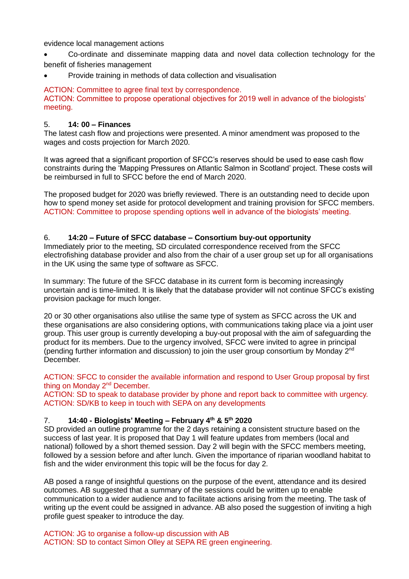evidence local management actions

- Co-ordinate and disseminate mapping data and novel data collection technology for the benefit of fisheries management
- Provide training in methods of data collection and visualisation

ACTION: Committee to agree final text by correspondence. ACTION: Committee to propose operational objectives for 2019 well in advance of the biologists' meeting.

#### 5. **14: 00 – Finances**

The latest cash flow and projections were presented. A minor amendment was proposed to the wages and costs projection for March 2020.

It was agreed that a significant proportion of SFCC's reserves should be used to ease cash flow constraints during the 'Mapping Pressures on Atlantic Salmon in Scotland' project. These costs will be reimbursed in full to SFCC before the end of March 2020.

The proposed budget for 2020 was briefly reviewed. There is an outstanding need to decide upon how to spend money set aside for protocol development and training provision for SFCC members. ACTION: Committee to propose spending options well in advance of the biologists' meeting.

## 6. **14:20 – Future of SFCC database – Consortium buy-out opportunity**

Immediately prior to the meeting, SD circulated correspondence received from the SFCC electrofishing database provider and also from the chair of a user group set up for all organisations in the UK using the same type of software as SFCC.

In summary: The future of the SFCC database in its current form is becoming increasingly uncertain and is time-limited. It is likely that the database provider will not continue SFCC's existing provision package for much longer.

20 or 30 other organisations also utilise the same type of system as SFCC across the UK and these organisations are also considering options, with communications taking place via a joint user group. This user group is currently developing a buy-out proposal with the aim of safeguarding the product for its members. Due to the urgency involved, SFCC were invited to agree in principal (pending further information and discussion) to join the user group consortium by Monday 2nd December.

ACTION: SFCC to consider the available information and respond to User Group proposal by first thing on Monday 2<sup>nd</sup> December.

ACTION: SD to speak to database provider by phone and report back to committee with urgency. ACTION: SD/KB to keep in touch with SEPA on any developments

# 7. **14:40 - Biologists' Meeting – February 4th & 5th 2020**

SD provided an outline programme for the 2 days retaining a consistent structure based on the success of last year. It is proposed that Day 1 will feature updates from members (local and national) followed by a short themed session. Day 2 will begin with the SFCC members meeting, followed by a session before and after lunch. Given the importance of riparian woodland habitat to fish and the wider environment this topic will be the focus for day 2.

AB posed a range of insightful questions on the purpose of the event, attendance and its desired outcomes. AB suggested that a summary of the sessions could be written up to enable communication to a wider audience and to facilitate actions arising from the meeting. The task of writing up the event could be assigned in advance. AB also posed the suggestion of inviting a high profile guest speaker to introduce the day.

ACTION: JG to organise a follow-up discussion with AB ACTION: SD to contact Simon Olley at SEPA RE green engineering.